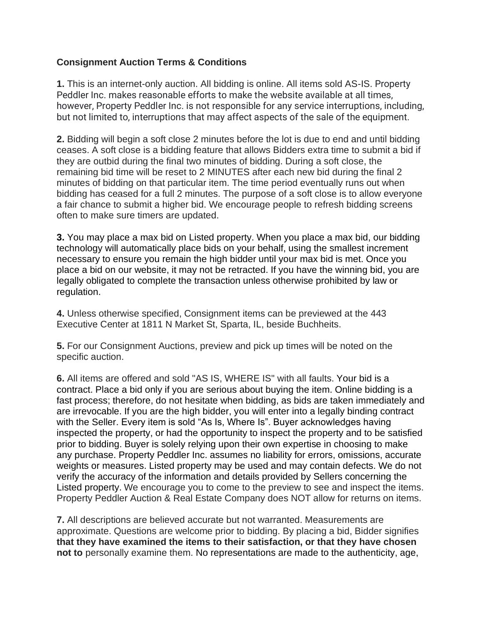## **Consignment Auction Terms & Conditions**

**1.** This is an internet-only auction. All bidding is online. All items sold AS-IS. Property Peddler Inc. makes reasonable efforts to make the website available at all times, however, Property Peddler Inc. is not responsible for any service interruptions, including, but not limited to, interruptions that may affect aspects of the sale of the equipment.

**2.** Bidding will begin a soft close 2 minutes before the lot is due to end and until bidding ceases. A soft close is a bidding feature that allows Bidders extra time to submit a bid if they are outbid during the final two minutes of bidding. During a soft close, the remaining bid time will be reset to 2 MINUTES after each new bid during the final 2 minutes of bidding on that particular item. The time period eventually runs out when bidding has ceased for a full 2 minutes. The purpose of a soft close is to allow everyone a fair chance to submit a higher bid. We encourage people to refresh bidding screens often to make sure timers are updated.

**3.** You may place a max bid on Listed property. When you place a max bid, our bidding technology will automatically place bids on your behalf, using the smallest increment necessary to ensure you remain the high bidder until your max bid is met. Once you place a bid on our website, it may not be retracted. If you have the winning bid, you are legally obligated to complete the transaction unless otherwise prohibited by law or regulation.

**4.** Unless otherwise specified, Consignment items can be previewed at the 443 Executive Center at 1811 N Market St, Sparta, IL, beside Buchheits.

**5.** For our Consignment Auctions, preview and pick up times will be noted on the specific auction.

**6.** All items are offered and sold "AS IS, WHERE IS" with all faults. Your bid is a contract. Place a bid only if you are serious about buying the item. Online bidding is a fast process; therefore, do not hesitate when bidding, as bids are taken immediately and are irrevocable. If you are the high bidder, you will enter into a legally binding contract with the Seller. Every item is sold "As Is, Where Is". Buyer acknowledges having inspected the property, or had the opportunity to inspect the property and to be satisfied prior to bidding. Buyer is solely relying upon their own expertise in choosing to make any purchase. Property Peddler Inc. assumes no liability for errors, omissions, accurate weights or measures. Listed property may be used and may contain defects. We do not verify the accuracy of the information and details provided by Sellers concerning the Listed property. We encourage you to come to the preview to see and inspect the items. Property Peddler Auction & Real Estate Company does NOT allow for returns on items.

**7.** All descriptions are believed accurate but not warranted. Measurements are approximate. Questions are welcome prior to bidding. By placing a bid, Bidder signifies **that they have examined the items to their satisfaction, or that they have chosen not to** personally examine them. No representations are made to the authenticity, age,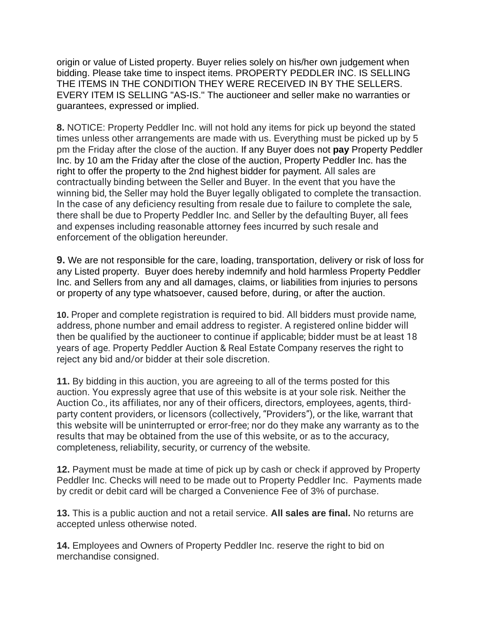origin or value of Listed property. Buyer relies solely on his/her own judgement when bidding. Please take time to inspect items. PROPERTY PEDDLER INC. IS SELLING THE ITEMS IN THE CONDITION THEY WERE RECEIVED IN BY THE SELLERS. EVERY ITEM IS SELLING "AS-IS.'' The auctioneer and seller make no warranties or guarantees, expressed or implied.

**8.** NOTICE: Property Peddler Inc. will not hold any items for pick up beyond the stated times unless other arrangements are made with us. Everything must be picked up by 5 pm the Friday after the close of the auction. If any Buyer does not **pay** Property Peddler Inc. by 10 am the Friday after the close of the auction, Property Peddler Inc. has the right to offer the property to the 2nd highest bidder for payment. All sales are contractually binding between the Seller and Buyer. In the event that you have the winning bid, the Seller may hold the Buyer legally obligated to complete the transaction. In the case of any deficiency resulting from resale due to failure to complete the sale, there shall be due to Property Peddler Inc. and Seller by the defaulting Buyer, all fees and expenses including reasonable attorney fees incurred by such resale and enforcement of the obligation hereunder.

**9.** We are not responsible for the care, loading, transportation, delivery or risk of loss for any Listed property. Buyer does hereby indemnify and hold harmless Property Peddler Inc. and Sellers from any and all damages, claims, or liabilities from injuries to persons or property of any type whatsoever, caused before, during, or after the auction.

**10.** Proper and complete registration is required to bid. All bidders must provide name, address, phone number and email address to register. A registered online bidder will then be qualified by the auctioneer to continue if applicable; bidder must be at least 18 years of age. Property Peddler Auction & Real Estate Company reserves the right to reject any bid and/or bidder at their sole discretion.

**11.** By bidding in this auction, you are agreeing to all of the terms posted for this auction. You expressly agree that use of this website is at your sole risk. Neither the Auction Co., its affiliates, nor any of their officers, directors, employees, agents, thirdparty content providers, or licensors (collectively, "Providers"), or the like, warrant that this website will be uninterrupted or error-free; nor do they make any warranty as to the results that may be obtained from the use of this website, or as to the accuracy, completeness, reliability, security, or currency of the website.

**12.** Payment must be made at time of pick up by cash or check if approved by Property Peddler Inc. Checks will need to be made out to Property Peddler Inc. Payments made by credit or debit card will be charged a Convenience Fee of 3% of purchase.

**13.** This is a public auction and not a retail service. **All sales are final.** No returns are accepted unless otherwise noted.

**14.** Employees and Owners of Property Peddler Inc. reserve the right to bid on merchandise consigned.